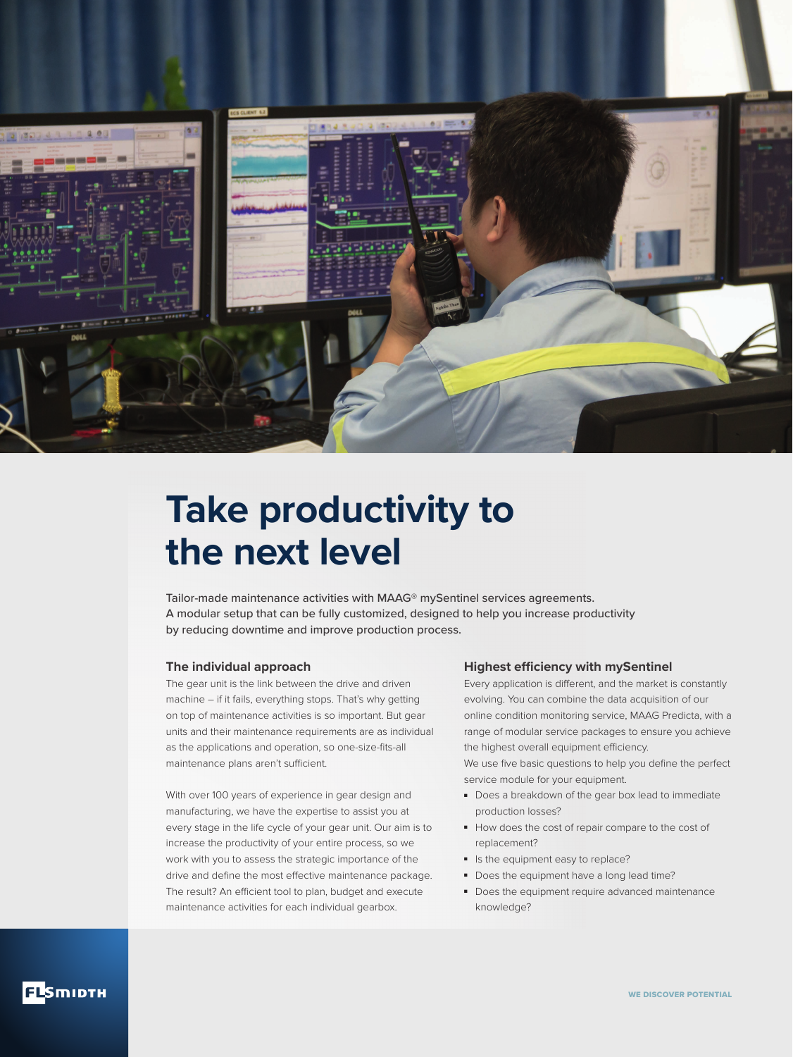

# **Take productivity to the next level**

Tailor-made maintenance activities with MAAG® mySentinel services agreements. A modular setup that can be fully customized, designed to help you increase productivity by reducing downtime and improve production process.

#### **The individual approach**

The gear unit is the link between the drive and driven machine – if it fails, everything stops. That's why getting on top of maintenance activities is so important. But gear units and their maintenance requirements are as individual as the applications and operation, so one-size-fits-all maintenance plans aren't sufficient.

With over 100 years of experience in gear design and manufacturing, we have the expertise to assist you at every stage in the life cycle of your gear unit. Our aim is to increase the productivity of your entire process, so we work with you to assess the strategic importance of the drive and define the most effective maintenance package. The result? An efficient tool to plan, budget and execute maintenance activities for each individual gearbox.

### **Highest efficiency with mySentinel**

Every application is different, and the market is constantly evolving. You can combine the data acquisition of our online condition monitoring service, MAAG Predicta, with a range of modular service packages to ensure you achieve the highest overall equipment efficiency.

We use five basic questions to help you define the perfect service module for your equipment.

- Does a breakdown of the gear box lead to immediate production losses?
- How does the cost of repair compare to the cost of replacement?
- Is the equipment easy to replace?
- Does the equipment have a long lead time?
- Does the equipment require advanced maintenance knowledge?

**ELSMIDTH**